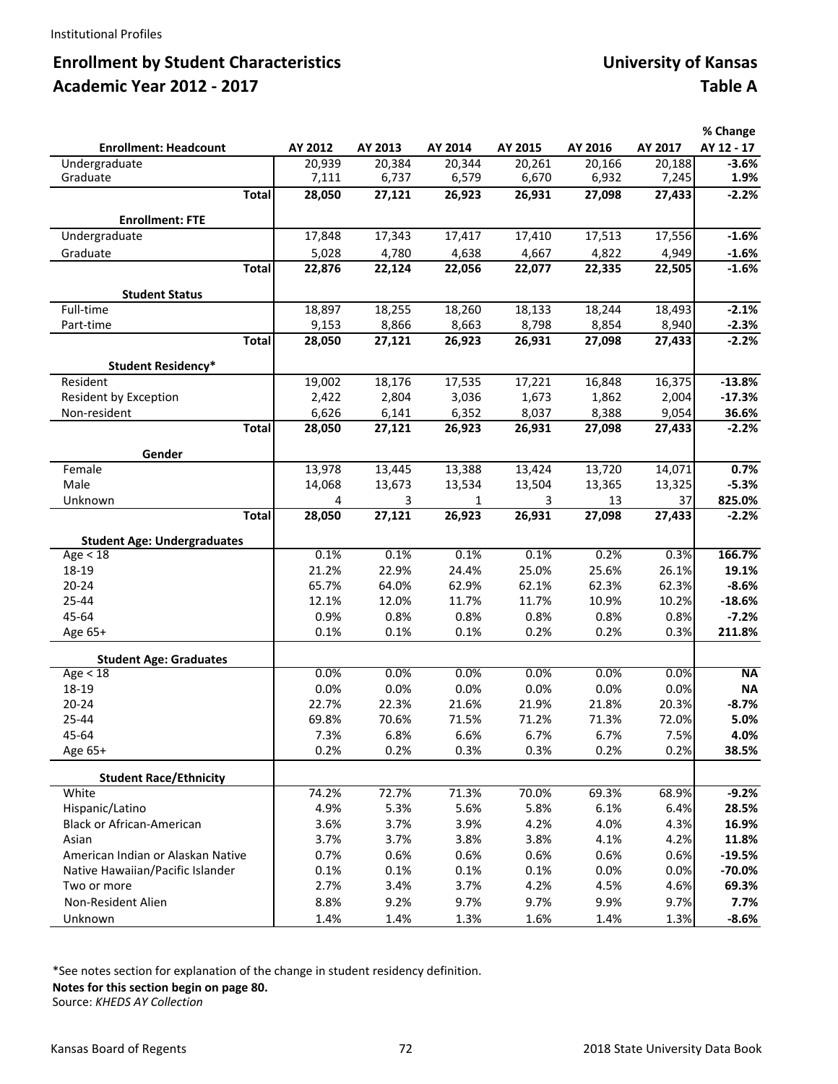# **Enrollment by Student Characteristics and Community Community Community Community of Kansas Academic Year 2012 ‐ 2017 Table A**

|                                       |         |         |                 |                 |         |         | % Change      |
|---------------------------------------|---------|---------|-----------------|-----------------|---------|---------|---------------|
| <b>Enrollment: Headcount</b>          | AY 2012 | AY 2013 | AY 2014         | AY 2015         | AY 2016 | AY 2017 | AY 12 - 17    |
| Undergraduate                         | 20,939  | 20,384  | 20,344          | 20,261          | 20,166  | 20,188  | $-3.6%$       |
| Graduate                              | 7,111   | 6,737   | 6,579           | 6,670           | 6,932   | 7,245   | 1.9%          |
| <b>Total</b>                          | 28,050  | 27,121  | 26,923          | 26,931          | 27,098  | 27,433  | $-2.2%$       |
| <b>Enrollment: FTE</b>                |         |         |                 |                 |         |         |               |
| Undergraduate                         | 17,848  | 17,343  | 17,417          | 17,410          | 17,513  | 17,556  | $-1.6%$       |
|                                       |         |         |                 |                 |         |         |               |
| Graduate                              | 5,028   | 4,780   | 4,638           | 4,667           | 4,822   | 4,949   | $-1.6%$       |
| <b>Total</b>                          | 22,876  | 22,124  | 22,056          | 22,077          | 22,335  | 22,505  | $-1.6%$       |
| <b>Student Status</b>                 |         |         |                 |                 |         |         |               |
| Full-time                             | 18,897  | 18,255  | 18,260          | 18,133          | 18,244  | 18,493  | $-2.1%$       |
| Part-time                             | 9,153   | 8,866   | 8,663           | 8,798           | 8,854   | 8,940   | $-2.3%$       |
| <b>Total</b>                          | 28,050  | 27,121  | 26,923          | 26,931          | 27,098  | 27,433  | $-2.2%$       |
|                                       |         |         |                 |                 |         |         |               |
| <b>Student Residency*</b><br>Resident | 19,002  | 18,176  |                 |                 | 16,848  | 16,375  | $-13.8%$      |
| Resident by Exception                 | 2,422   | 2,804   | 17,535<br>3,036 | 17,221<br>1,673 | 1,862   | 2,004   | $-17.3%$      |
| Non-resident                          | 6,626   | 6,141   | 6,352           | 8,037           | 8,388   | 9,054   | 36.6%         |
| <b>Total</b>                          | 28,050  | 27,121  | 26,923          | 26,931          | 27,098  | 27,433  | $-2.2%$       |
|                                       |         |         |                 |                 |         |         |               |
| Gender                                |         |         |                 |                 |         |         |               |
| Female                                | 13,978  | 13,445  | 13,388          | 13,424          | 13,720  | 14,071  | 0.7%          |
| Male                                  | 14,068  | 13,673  | 13,534          | 13,504          | 13,365  | 13,325  | $-5.3%$       |
| Unknown                               | 4       | 3       | 1               | 3               | 13      | 37      | 825.0%        |
| <b>Total</b>                          | 28,050  | 27,121  | 26,923          | 26,931          | 27,098  | 27,433  | $-2.2%$       |
| <b>Student Age: Undergraduates</b>    |         |         |                 |                 |         |         |               |
| Age < 18                              | 0.1%    | 0.1%    | 0.1%            | 0.1%            | 0.2%    | 0.3%    | 166.7%        |
| 18-19                                 | 21.2%   | 22.9%   | 24.4%           | 25.0%           | 25.6%   | 26.1%   | 19.1%         |
| $20 - 24$                             | 65.7%   | 64.0%   | 62.9%           | 62.1%           | 62.3%   | 62.3%   | $-8.6%$       |
| 25-44                                 | 12.1%   | 12.0%   | 11.7%           | 11.7%           | 10.9%   | 10.2%   | $-18.6%$      |
| 45-64                                 | 0.9%    | 0.8%    | 0.8%            | 0.8%            | 0.8%    | 0.8%    | $-7.2%$       |
| Age 65+                               | 0.1%    | 0.1%    | 0.1%            | 0.2%            | 0.2%    | 0.3%    | 211.8%        |
|                                       |         |         |                 |                 |         |         |               |
| <b>Student Age: Graduates</b>         |         |         |                 |                 |         |         |               |
| Age < 18                              | 0.0%    | 0.0%    | 0.0%            | 0.0%            | 0.0%    | 0.0%    | <b>NA</b>     |
| 18-19                                 | 0.0%    | 0.0%    | 0.0%            | 0.0%            | 0.0%    | 0.0%    | <b>NA</b>     |
| $20 - 24$                             | 22.7%   | 22.3%   | 21.6%           | 21.9%           | 21.8%   | 20.3%   | $-8.7%$       |
| 25-44                                 | 69.8%   | 70.6%   | 71.5%           | 71.2%           | 71.3%   | 72.0%   | 5.0%          |
| 45-64                                 | 7.3%    | 6.8%    | 6.6%            | 6.7%            | 6.7%    | 7.5%    | 4.0%<br>38.5% |
| Age 65+                               | 0.2%    | 0.2%    | 0.3%            | 0.3%            | 0.2%    | 0.2%    |               |
| <b>Student Race/Ethnicity</b>         |         |         |                 |                 |         |         |               |
| White                                 | 74.2%   | 72.7%   | 71.3%           | 70.0%           | 69.3%   | 68.9%   | $-9.2%$       |
| Hispanic/Latino                       | 4.9%    | 5.3%    | 5.6%            | 5.8%            | 6.1%    | 6.4%    | 28.5%         |
| Black or African-American             | 3.6%    | 3.7%    | 3.9%            | 4.2%            | 4.0%    | 4.3%    | 16.9%         |
| Asian                                 | 3.7%    | 3.7%    | 3.8%            | 3.8%            | 4.1%    | 4.2%    | 11.8%         |
| American Indian or Alaskan Native     | 0.7%    | 0.6%    | 0.6%            | 0.6%            | 0.6%    | 0.6%    | $-19.5%$      |
| Native Hawaiian/Pacific Islander      | 0.1%    | 0.1%    | 0.1%            | 0.1%            | 0.0%    | 0.0%    | $-70.0%$      |
| Two or more                           | 2.7%    | 3.4%    | 3.7%            | 4.2%            | 4.5%    | 4.6%    | 69.3%         |
| Non-Resident Alien                    | 8.8%    | 9.2%    | 9.7%            | 9.7%            | 9.9%    | 9.7%    | 7.7%          |
| Unknown                               | 1.4%    | 1.4%    | 1.3%            | 1.6%            | 1.4%    | 1.3%    | $-8.6%$       |

\*See notes section for explanation of the change in student residency definition.

**Notes for this section begin on page 80.**

Source: *KHEDS AY Collection*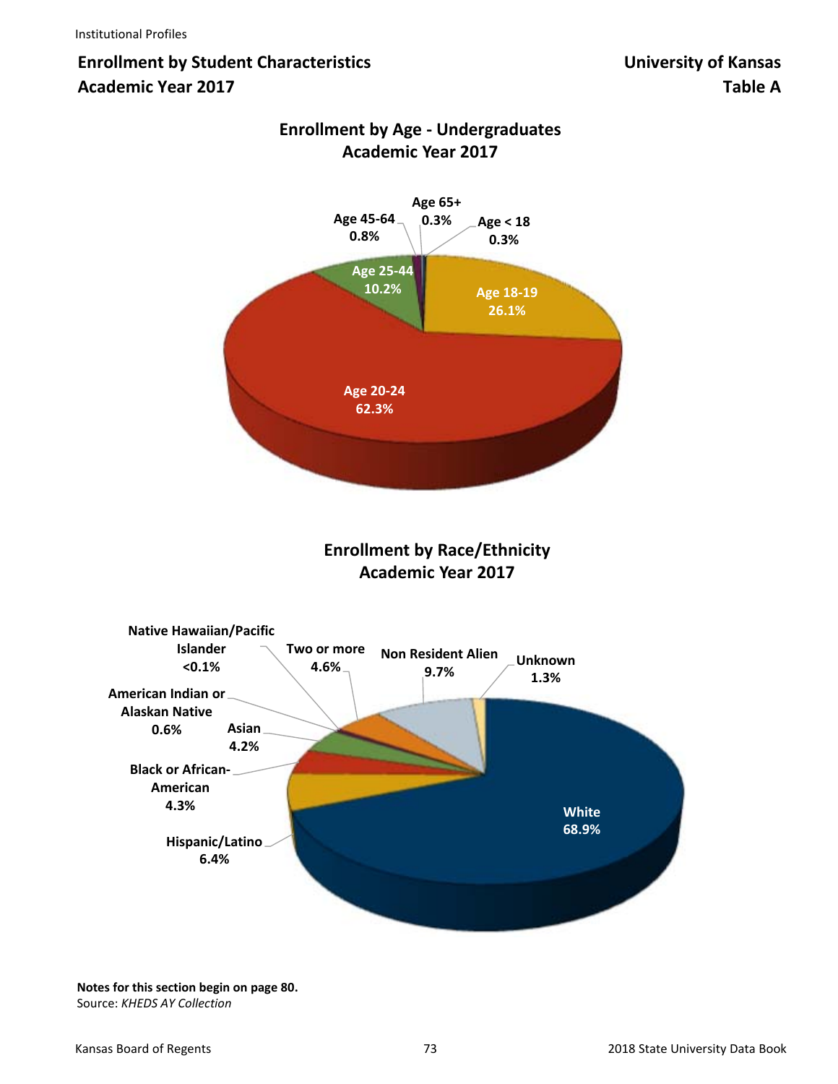# **Enrollment by Student Characteristics Constrainer Enrollment by Student Characteristics Constrainer Characteristics Academic Year 2017 Table A**



## **Enrollment by Age ‐ Undergraduates Academic Year 2017**

**Enrollment by Race/Ethnicity Academic Year 2017**



**Notes for this section begin on page 80.** Source: *KHEDS AY Collection*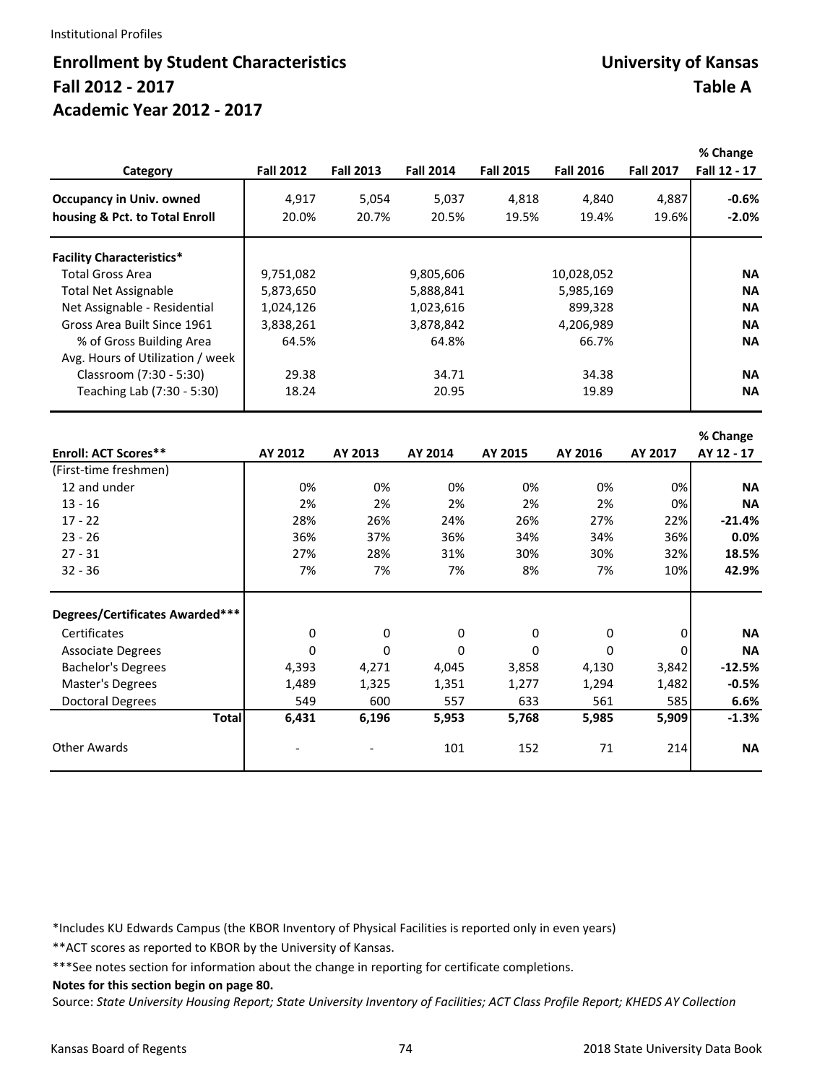#### Institutional Profiles

## **Enrollment by Student Characteristics Constrainer Enrollment by Student Characteristics Constrainer Characteristics Fall 2012 ‐ 2017 Table A Academic Year 2012 ‐ 2017**

| Category                         | <b>Fall 2012</b> | <b>Fall 2013</b> | <b>Fall 2014</b> | <b>Fall 2015</b> | <b>Fall 2016</b> | <b>Fall 2017</b> | % Change<br>Fall 12 - 17 |
|----------------------------------|------------------|------------------|------------------|------------------|------------------|------------------|--------------------------|
| <b>Occupancy in Univ. owned</b>  | 4,917            | 5,054            | 5,037            | 4,818            | 4,840            | 4,887            | $-0.6%$                  |
| housing & Pct. to Total Enroll   | 20.0%            | 20.7%            | 20.5%            | 19.5%            | 19.4%            | 19.6%            | $-2.0%$                  |
| <b>Facility Characteristics*</b> |                  |                  |                  |                  |                  |                  |                          |
| <b>Total Gross Area</b>          | 9,751,082        |                  | 9,805,606        |                  | 10,028,052       |                  | <b>NA</b>                |
| <b>Total Net Assignable</b>      | 5,873,650        |                  | 5,888,841        |                  | 5,985,169        |                  | <b>NA</b>                |
| Net Assignable - Residential     | 1,024,126        |                  | 1,023,616        |                  | 899,328          |                  | <b>NA</b>                |
| Gross Area Built Since 1961      | 3,838,261        |                  | 3,878,842        |                  | 4,206,989        |                  | <b>NA</b>                |
| % of Gross Building Area         | 64.5%            |                  | 64.8%            |                  | 66.7%            |                  | <b>NA</b>                |
| Avg. Hours of Utilization / week |                  |                  |                  |                  |                  |                  |                          |
| Classroom (7:30 - 5:30)          | 29.38            |                  | 34.71            |                  | 34.38            |                  | <b>NA</b>                |
| Teaching Lab (7:30 - 5:30)       | 18.24            |                  | 20.95            |                  | 19.89            |                  | <b>NA</b>                |
|                                  |                  |                  |                  |                  |                  |                  | % Change                 |
| <b>Enroll: ACT Scores**</b>      | AY 2012          | AY 2013          | AY 2014          | AY 2015          | AY 2016          | AY 2017          | AY 12 - 17               |
| (First-time freshmen)            |                  |                  |                  |                  |                  |                  |                          |
| 12 and under                     | 0%               | 0%               | 0%               | 0%               | 0%               | 0%               | <b>NA</b>                |
| $13 - 16$                        | 2%               | 2%               | 2%               | 2%               | 2%               | 0%               | <b>NA</b>                |
| $17 - 22$                        | 28%              | 26%              | 24%              | 26%              | 27%              | 22%              | $-21.4%$                 |
| $23 - 26$                        | 36%              | 37%              | 36%              | 34%              | 34%              | 36%              | 0.0%                     |
| $27 - 31$                        | 27%              | 28%              | 31%              | 30%              | 30%              | 32%              | 18.5%                    |
| $32 - 36$                        | 7%               | 7%               | 7%               | 8%               | 7%               | 10%              | 42.9%                    |

| $32 - 36$                       |              | 7%    | 7%    | 7%    | 8%           | 7%    | 10%   | 42.9%     |
|---------------------------------|--------------|-------|-------|-------|--------------|-------|-------|-----------|
| Degrees/Certificates Awarded*** |              |       |       |       |              |       |       |           |
| Certificates                    |              | 0     | 0     | 0     | 0            | 0     | 0     | <b>NA</b> |
| <b>Associate Degrees</b>        |              | 0     | 0     | 0     | $\mathbf{0}$ | 0     | 0     | <b>NA</b> |
| <b>Bachelor's Degrees</b>       |              | 4,393 | 4,271 | 4,045 | 3,858        | 4,130 | 3,842 | $-12.5%$  |
| Master's Degrees                |              | 1,489 | 1,325 | 1,351 | 1,277        | 1,294 | 1,482 | $-0.5%$   |
| <b>Doctoral Degrees</b>         |              | 549   | 600   | 557   | 633          | 561   | 585   | 6.6%      |
|                                 | <b>Total</b> | 6,431 | 6,196 | 5,953 | 5,768        | 5,985 | 5,909 | $-1.3%$   |
| Other Awards                    |              |       |       | 101   | 152          | 71    | 214   | <b>NA</b> |

\*Includes KU Edwards Campus (the KBOR Inventory of Physical Facilities is reported only in even years)

\*\*ACT scores as reported to KBOR by the University of Kansas.

\*\*\*See notes section for information about the change in reporting for certificate completions.

**Notes for this section begin on page 80.**

Source: *State University Housing Report; State University Inventory of Facilities; ACT Class Profile Report; KHEDS AY Collection*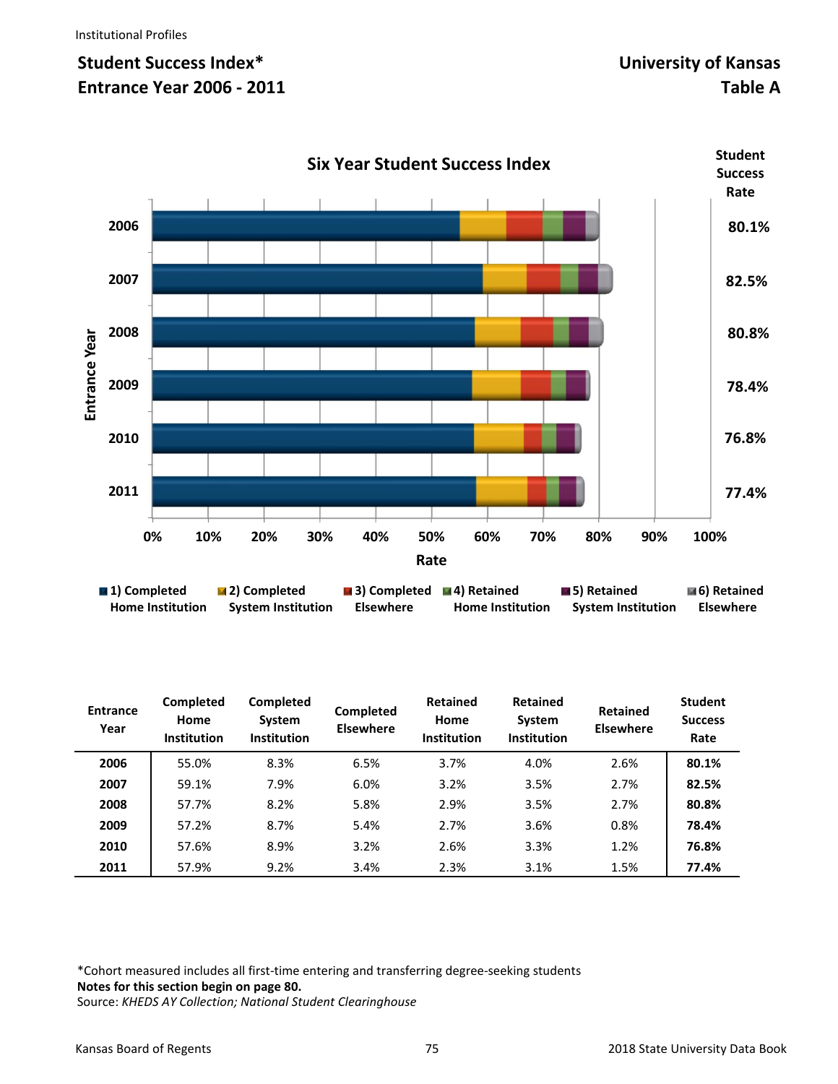# **Student Success Index\* University of Kansas Entrance Year 2006 - 2011** Table A



| <b>Entrance</b><br>Year | Completed<br>Home<br>Institution | Completed<br>System<br><b>Institution</b> | <b>Completed</b><br><b>Elsewhere</b> | <b>Retained</b><br>Home<br><b>Institution</b> | <b>Retained</b><br><b>System</b><br><b>Institution</b> | <b>Retained</b><br><b>Elsewhere</b> | <b>Student</b><br><b>Success</b><br>Rate |
|-------------------------|----------------------------------|-------------------------------------------|--------------------------------------|-----------------------------------------------|--------------------------------------------------------|-------------------------------------|------------------------------------------|
| 2006                    | 55.0%                            | 8.3%                                      | 6.5%                                 | 3.7%                                          | 4.0%                                                   | 2.6%                                | 80.1%                                    |
| 2007                    | 59.1%                            | 7.9%                                      | 6.0%                                 | 3.2%                                          | 3.5%                                                   | 2.7%                                | 82.5%                                    |
| 2008                    | 57.7%                            | 8.2%                                      | 5.8%                                 | 2.9%                                          | 3.5%                                                   | 2.7%                                | 80.8%                                    |
| 2009                    | 57.2%                            | 8.7%                                      | 5.4%                                 | 2.7%                                          | 3.6%                                                   | 0.8%                                | 78.4%                                    |
| 2010                    | 57.6%                            | 8.9%                                      | 3.2%                                 | 2.6%                                          | 3.3%                                                   | 1.2%                                | 76.8%                                    |
| 2011                    | 57.9%                            | 9.2%                                      | 3.4%                                 | 2.3%                                          | 3.1%                                                   | 1.5%                                | 77.4%                                    |

\*Cohort measured includes all first‐time entering and transferring degree‐seeking students **Notes for this section begin on page 80.**  Source: *KHEDS AY Collection; National Student Clearinghouse*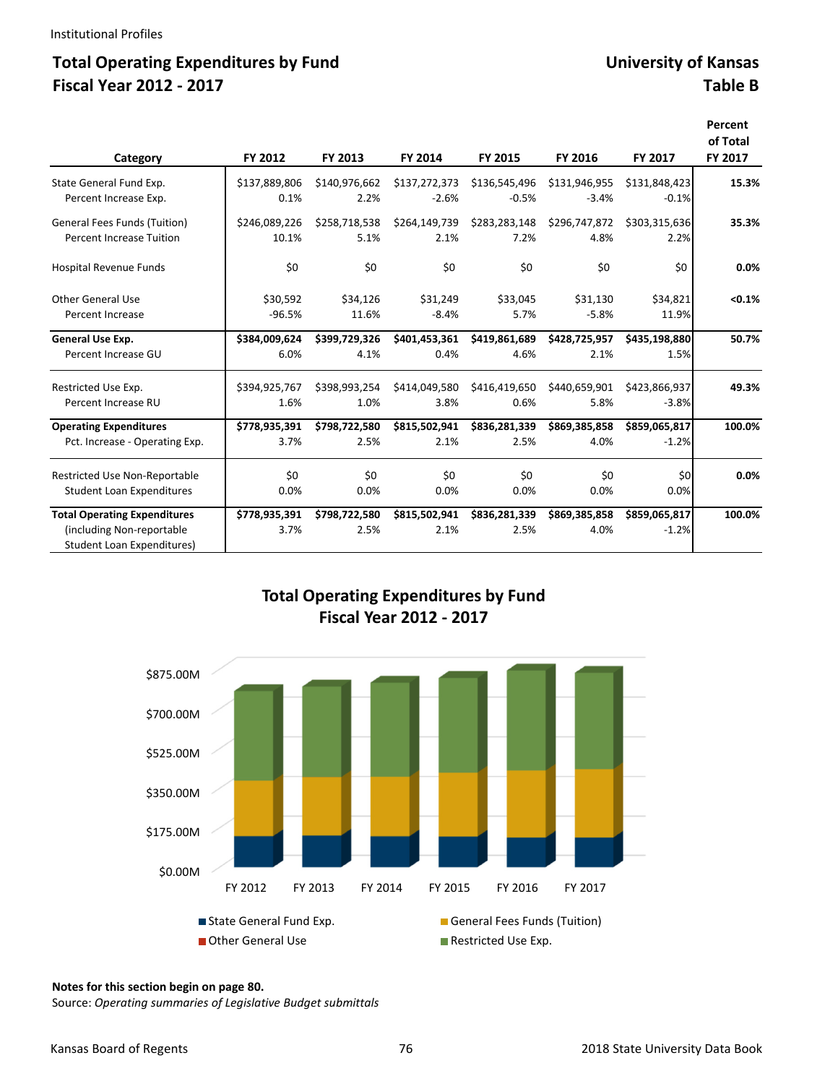### **Total Operating Expenditures by Fund University of Kansas Fiscal Year 2012 ‐ 2017 Table B**

|                                                                |               |               |               |               |               |               | Percent<br>of Total |
|----------------------------------------------------------------|---------------|---------------|---------------|---------------|---------------|---------------|---------------------|
| Category                                                       | FY 2012       | FY 2013       | FY 2014       | FY 2015       | FY 2016       | FY 2017       | FY 2017             |
| State General Fund Exp.                                        | \$137,889,806 | \$140,976,662 | \$137,272,373 | \$136,545,496 | \$131,946,955 | \$131,848,423 | 15.3%               |
| Percent Increase Exp.                                          | 0.1%          | 2.2%          | $-2.6%$       | $-0.5%$       | $-3.4%$       | $-0.1%$       |                     |
| <b>General Fees Funds (Tuition)</b>                            | \$246,089,226 | \$258,718,538 | \$264,149,739 | \$283,283,148 | \$296,747,872 | \$303,315,636 | 35.3%               |
| Percent Increase Tuition                                       | 10.1%         | 5.1%          | 2.1%          | 7.2%          | 4.8%          | 2.2%          |                     |
| Hospital Revenue Funds                                         | \$0           | \$0           | \$0           | \$0           | \$0           | \$0           | 0.0%                |
| Other General Use                                              | \$30,592      | \$34,126      | \$31,249      | \$33,045      | \$31,130      | \$34,821      | < 0.1%              |
| Percent Increase                                               | $-96.5%$      | 11.6%         | $-8.4%$       | 5.7%          | $-5.8%$       | 11.9%         |                     |
| General Use Exp.                                               | \$384,009,624 | \$399,729,326 | \$401,453,361 | \$419,861,689 | \$428,725,957 | \$435,198,880 | 50.7%               |
| Percent Increase GU                                            | 6.0%          | 4.1%          | 0.4%          | 4.6%          | 2.1%          | 1.5%          |                     |
| Restricted Use Exp.                                            | \$394,925,767 | \$398,993,254 | \$414,049,580 | \$416,419,650 | \$440,659,901 | \$423.866.937 | 49.3%               |
| Percent Increase RU                                            | 1.6%          | 1.0%          | 3.8%          | 0.6%          | 5.8%          | $-3.8%$       |                     |
| <b>Operating Expenditures</b>                                  | \$778,935,391 | \$798,722,580 | \$815,502,941 | \$836,281,339 | \$869,385,858 | \$859,065,817 | 100.0%              |
| Pct. Increase - Operating Exp.                                 | 3.7%          | 2.5%          | 2.1%          | 2.5%          | 4.0%          | $-1.2%$       |                     |
| <b>Restricted Use Non-Reportable</b>                           | \$0           | \$0           | \$0           | \$0           | \$0           | \$0           | 0.0%                |
| <b>Student Loan Expenditures</b>                               | 0.0%          | 0.0%          | 0.0%          | 0.0%          | 0.0%          | 0.0%          |                     |
| <b>Total Operating Expenditures</b>                            | \$778,935,391 | \$798,722,580 | \$815,502,941 | \$836,281,339 | \$869,385,858 | \$859,065,817 | 100.0%              |
| (including Non-reportable<br><b>Student Loan Expenditures)</b> | 3.7%          | 2.5%          | 2.1%          | 2.5%          | 4.0%          | $-1.2%$       |                     |

### **Total Operating Expenditures by Fund Fiscal Year 2012 ‐ 2017**



#### **Notes for this section begin on page 80.**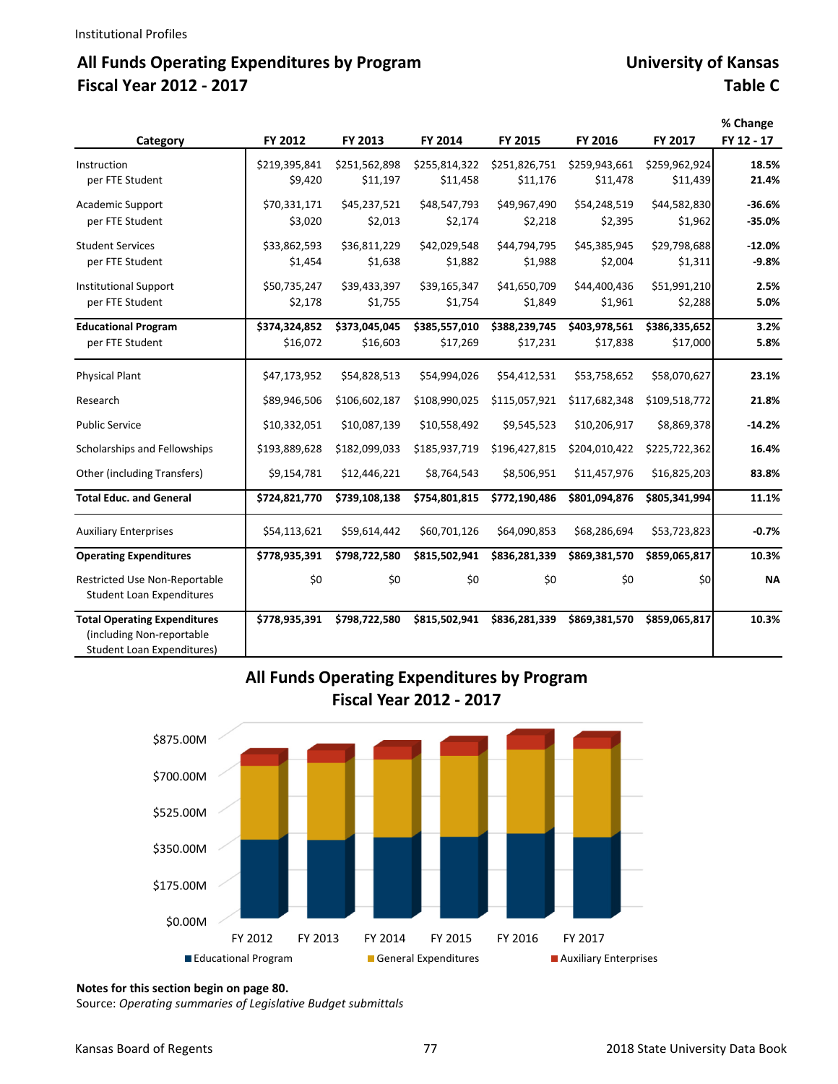# **All Funds Operating Expenditures by Program University of Kansas Fiscal Year 2012 ‐ 2017 Table C**

|                                                                                                       |               |               |               |               |               |                | % Change   |
|-------------------------------------------------------------------------------------------------------|---------------|---------------|---------------|---------------|---------------|----------------|------------|
| Category                                                                                              | FY 2012       | FY 2013       | FY 2014       | FY 2015       | FY 2016       | <b>FY 2017</b> | FY 12 - 17 |
| Instruction                                                                                           | \$219,395,841 | \$251,562,898 | \$255,814,322 | \$251,826,751 | \$259,943,661 | \$259,962,924  | 18.5%      |
| per FTE Student                                                                                       | \$9,420       | \$11,197      | \$11,458      | \$11,176      | \$11,478      | \$11,439       | 21.4%      |
| Academic Support                                                                                      | \$70,331,171  | \$45,237,521  | \$48,547,793  | \$49,967,490  | \$54,248,519  | \$44,582,830   | $-36.6%$   |
| per FTE Student                                                                                       | \$3,020       | \$2,013       | \$2,174       | \$2,218       | \$2,395       | \$1,962        | $-35.0%$   |
| <b>Student Services</b>                                                                               | \$33,862,593  | \$36,811,229  | \$42,029,548  | \$44,794,795  | \$45,385,945  | \$29,798,688   | $-12.0%$   |
| per FTE Student                                                                                       | \$1,454       | \$1,638       | \$1,882       | \$1,988       | \$2,004       | \$1,311        | $-9.8%$    |
| <b>Institutional Support</b>                                                                          | \$50,735,247  | \$39,433,397  | \$39,165,347  | \$41,650,709  | \$44,400,436  | \$51,991,210   | 2.5%       |
| per FTE Student                                                                                       | \$2,178       | \$1,755       | \$1,754       | \$1,849       | \$1,961       | \$2,288        | 5.0%       |
| <b>Educational Program</b>                                                                            | \$374,324,852 | \$373,045,045 | \$385,557,010 | \$388,239,745 | \$403,978,561 | \$386,335,652  | 3.2%       |
| per FTE Student                                                                                       | \$16,072      | \$16,603      | \$17,269      | \$17,231      | \$17,838      | \$17,000       | 5.8%       |
| <b>Physical Plant</b>                                                                                 | \$47,173,952  | \$54,828,513  | \$54,994,026  | \$54,412,531  | \$53,758,652  | \$58,070,627   | 23.1%      |
| Research                                                                                              | \$89,946,506  | \$106,602,187 | \$108,990,025 | \$115,057,921 | \$117,682,348 | \$109,518,772  | 21.8%      |
| <b>Public Service</b>                                                                                 | \$10,332,051  | \$10,087,139  | \$10,558,492  | \$9,545,523   | \$10,206,917  | \$8,869,378    | $-14.2%$   |
| Scholarships and Fellowships                                                                          | \$193,889,628 | \$182,099,033 | \$185,937,719 | \$196,427,815 | \$204,010,422 | \$225,722,362  | 16.4%      |
| Other (including Transfers)                                                                           | \$9,154,781   | \$12,446,221  | \$8,764,543   | \$8,506,951   | \$11,457,976  | \$16,825,203   | 83.8%      |
| <b>Total Educ. and General</b>                                                                        | \$724,821,770 | \$739,108,138 | \$754,801,815 | \$772,190,486 | \$801,094,876 | \$805,341,994  | 11.1%      |
| <b>Auxiliary Enterprises</b>                                                                          | \$54,113,621  | \$59,614,442  | \$60,701,126  | \$64,090,853  | \$68,286,694  | \$53,723,823   | $-0.7%$    |
| <b>Operating Expenditures</b>                                                                         | \$778,935,391 | \$798,722,580 | \$815,502,941 | \$836,281,339 | \$869,381,570 | \$859,065,817  | 10.3%      |
| Restricted Use Non-Reportable<br><b>Student Loan Expenditures</b>                                     | \$0           | \$0           | \$0           | \$0           | \$0           | \$0            | <b>NA</b>  |
| <b>Total Operating Expenditures</b><br>(including Non-reportable<br><b>Student Loan Expenditures)</b> | \$778,935,391 | \$798,722,580 | \$815,502,941 | \$836,281,339 | \$869,381,570 | \$859,065,817  | 10.3%      |

#### **All Funds Operating Expenditures by Program Fiscal Year 2012 ‐ 2017**



**Notes for this section begin on page 80.**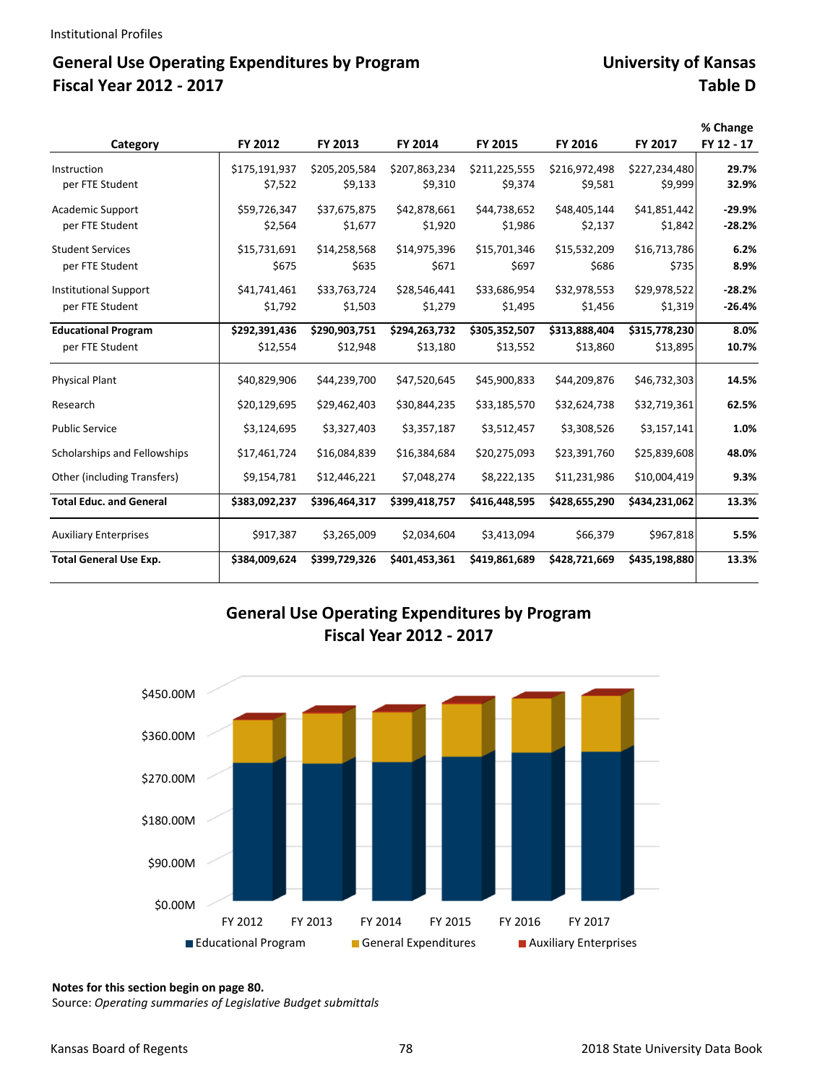# General Use Operating Expenditures by Program **Expenditures** by Program **Expanditures** University of Kansas **Fiscal Year 2012 ‐ 2017 Table D**

|                                |               |               |               |               |               |               | % Change   |
|--------------------------------|---------------|---------------|---------------|---------------|---------------|---------------|------------|
| Category                       | FY 2012       | FY 2013       | FY 2014       | FY 2015       | FY 2016       | FY 2017       | FY 12 - 17 |
| Instruction                    | \$175,191,937 | \$205,205,584 | \$207,863,234 | \$211,225,555 | \$216,972,498 | \$227,234,480 | 29.7%      |
| per FTE Student                | \$7,522       | \$9,133       | \$9,310       | \$9,374       | \$9,581       | \$9,999       | 32.9%      |
| Academic Support               | \$59,726,347  | \$37,675,875  | \$42,878,661  | \$44,738,652  | \$48,405.144  | \$41,851,442  | $-29.9%$   |
| per FTE Student                | \$2,564       | \$1,677       | \$1,920       | \$1,986       | \$2,137       | \$1,842       | $-28.2%$   |
| <b>Student Services</b>        | \$15,731,691  | \$14,258,568  | \$14,975,396  | \$15,701,346  | \$15,532,209  | \$16,713,786  | 6.2%       |
| per FTE Student                | \$675         | \$635         | \$671         | \$697         | \$686         | \$735         | 8.9%       |
| <b>Institutional Support</b>   | \$41,741,461  | \$33,763,724  | \$28,546,441  | \$33,686,954  | \$32,978,553  | \$29,978,522  | $-28.2%$   |
| per FTE Student                | \$1,792       | \$1,503       | \$1,279       | \$1,495       | \$1,456       | \$1,319       | $-26.4%$   |
| <b>Educational Program</b>     | \$292,391,436 | \$290,903,751 | \$294,263,732 | \$305,352,507 | \$313,888,404 | \$315,778,230 | 8.0%       |
| per FTE Student                | \$12,554      | \$12,948      | \$13,180      | \$13,552      | \$13,860      | \$13,895      | 10.7%      |
| <b>Physical Plant</b>          | \$40,829,906  | \$44,239,700  | \$47,520,645  | \$45,900,833  | \$44,209,876  | \$46,732,303  | 14.5%      |
| Research                       | \$20,129,695  | \$29,462,403  | \$30,844,235  | \$33,185,570  | \$32,624,738  | \$32,719,361  | 62.5%      |
| <b>Public Service</b>          | \$3,124,695   | \$3,327,403   | \$3,357,187   | \$3,512,457   | \$3,308,526   | \$3,157,141   | 1.0%       |
| Scholarships and Fellowships   | \$17,461,724  | \$16,084,839  | \$16,384,684  | \$20,275,093  | \$23,391,760  | \$25,839,608  | 48.0%      |
| Other (including Transfers)    | \$9,154,781   | \$12,446,221  | \$7,048,274   | \$8,222,135   | \$11,231,986  | \$10,004,419  | 9.3%       |
| <b>Total Educ. and General</b> | \$383,092,237 | \$396,464,317 | \$399,418,757 | \$416,448,595 | \$428,655,290 | \$434,231,062 | 13.3%      |
| <b>Auxiliary Enterprises</b>   | \$917,387     | \$3,265,009   | \$2,034,604   | \$3,413,094   | \$66,379      | \$967,818     | 5.5%       |
| <b>Total General Use Exp.</b>  | \$384,009,624 | \$399,729,326 | \$401,453,361 | \$419,861,689 | \$428,721,669 | \$435,198,880 | 13.3%      |

### **General Use Operating Expenditures by Program Fiscal Year 2012 ‐ 2017**



**Notes for this section begin on page 80.**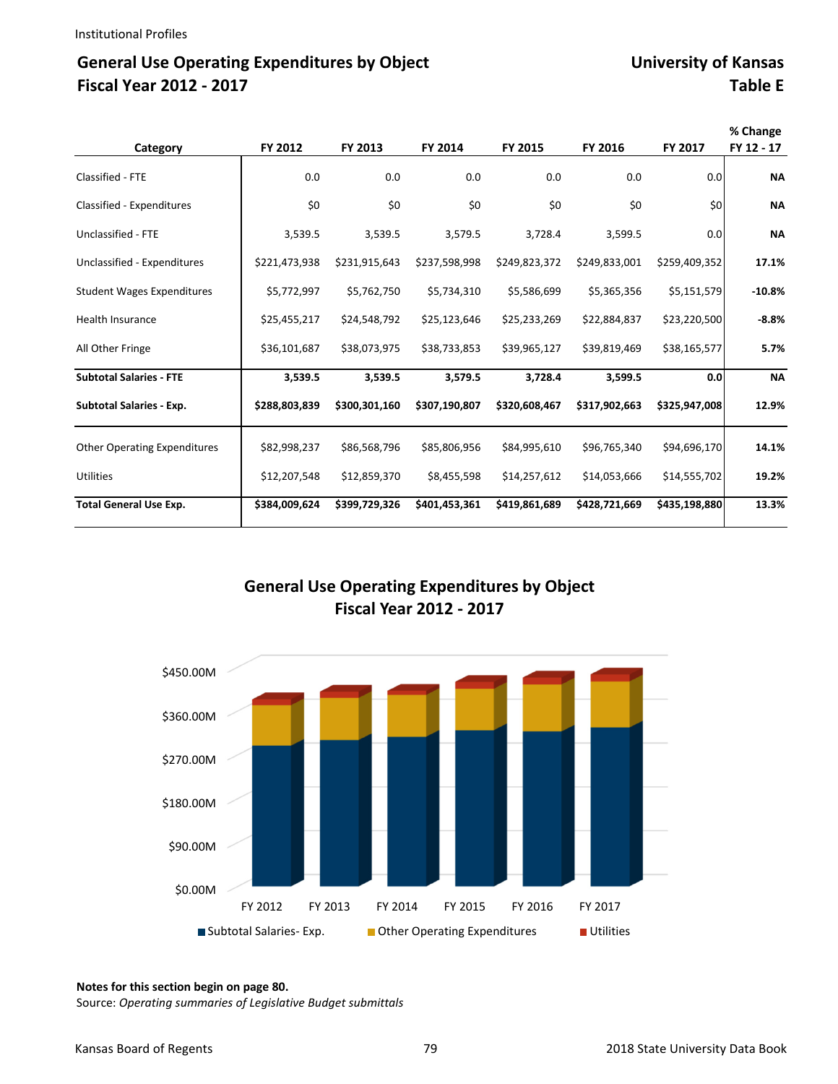# General Use Operating Expenditures by Object **Fig. 2018** University of Kansas **Fiscal Year 2012 ‐ 2017 Table E**

| Category                            | FY 2012       | FY 2013       | FY 2014       | FY 2015       | FY 2016       | FY 2017       | % Change<br>FY 12 - 17 |
|-------------------------------------|---------------|---------------|---------------|---------------|---------------|---------------|------------------------|
| Classified - FTE                    | 0.0           | 0.0           | 0.0           | 0.0           | 0.0           | 0.0           | <b>NA</b>              |
| Classified - Expenditures           | \$0           | \$0           | \$0           | \$0           | \$0           | \$0           | <b>NA</b>              |
| Unclassified - FTE                  | 3,539.5       | 3,539.5       | 3,579.5       | 3,728.4       | 3,599.5       | 0.0           | <b>NA</b>              |
| Unclassified - Expenditures         | \$221,473,938 | \$231,915,643 | \$237,598,998 | \$249,823,372 | \$249,833,001 | \$259,409,352 | 17.1%                  |
| <b>Student Wages Expenditures</b>   | \$5,772,997   | \$5,762,750   | \$5,734,310   | \$5,586,699   | \$5,365,356   | \$5,151,579   | $-10.8%$               |
| <b>Health Insurance</b>             | \$25,455,217  | \$24,548,792  | \$25,123,646  | \$25,233,269  | \$22,884,837  | \$23,220,500  | $-8.8%$                |
| All Other Fringe                    | \$36,101,687  | \$38,073,975  | \$38,733,853  | \$39,965,127  | \$39,819,469  | \$38,165,577  | 5.7%                   |
| <b>Subtotal Salaries - FTE</b>      | 3,539.5       | 3,539.5       | 3,579.5       | 3,728.4       | 3,599.5       | 0.0           | <b>NA</b>              |
| <b>Subtotal Salaries - Exp.</b>     | \$288,803,839 | \$300,301,160 | \$307,190,807 | \$320,608,467 | \$317,902,663 | \$325,947,008 | 12.9%                  |
| <b>Other Operating Expenditures</b> | \$82,998,237  | \$86,568,796  | \$85,806,956  | \$84,995,610  | \$96,765,340  | \$94,696,170  | 14.1%                  |
| <b>Utilities</b>                    | \$12,207,548  | \$12,859,370  | \$8,455,598   | \$14,257,612  | \$14,053,666  | \$14,555,702  | 19.2%                  |
| <b>Total General Use Exp.</b>       | \$384,009,624 | \$399,729,326 | \$401,453,361 | \$419,861,689 | \$428,721,669 | \$435,198,880 | 13.3%                  |

### **General Use Operating Expenditures by Object Fiscal Year 2012 ‐ 2017**



#### **Notes for this section begin on page 80.**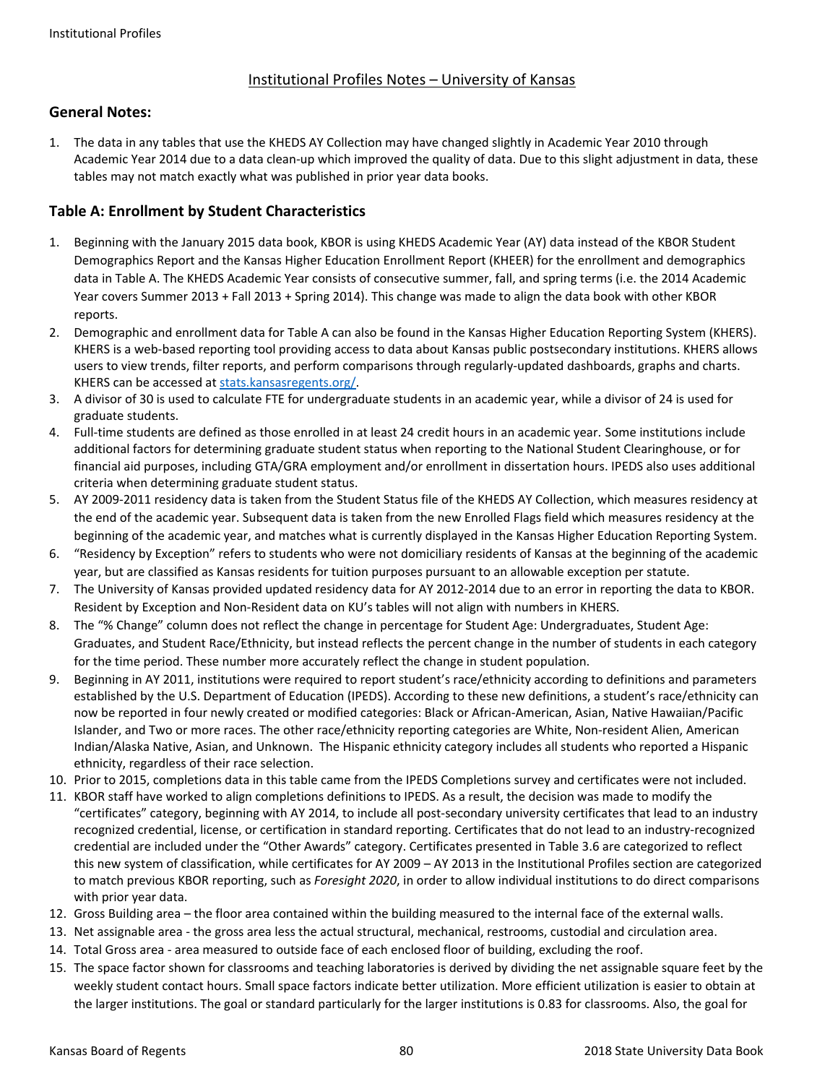#### Institutional Profiles Notes – University of Kansas

#### **General Notes:**

1. The data in any tables that use the KHEDS AY Collection may have changed slightly in Academic Year 2010 through Academic Year 2014 due to a data clean‐up which improved the quality of data. Due to this slight adjustment in data, these tables may not match exactly what was published in prior year data books.

#### **Table A: Enrollment by Student Characteristics**

- 1. Beginning with the January 2015 data book, KBOR is using KHEDS Academic Year (AY) data instead of the KBOR Student Demographics Report and the Kansas Higher Education Enrollment Report (KHEER) for the enrollment and demographics data in Table A. The KHEDS Academic Year consists of consecutive summer, fall, and spring terms (i.e. the 2014 Academic Year covers Summer 2013 + Fall 2013 + Spring 2014). This change was made to align the data book with other KBOR reports.
- 2. Demographic and enrollment data for Table A can also be found in the Kansas Higher Education Reporting System (KHERS). KHERS is a web-based reporting tool providing access to data about Kansas public postsecondary institutions. KHERS allows users to view trends, filter reports, and perform comparisons through regularly-updated dashboards, graphs and charts. KHERS can be accessed at stats.kansasregents.org/.
- 3. A divisor of 30 is used to calculate FTE for undergraduate students in an academic year, while a divisor of 24 is used for graduate students.
- 4. Full-time students are defined as those enrolled in at least 24 credit hours in an academic year. Some institutions include additional factors for determining graduate student status when reporting to the National Student Clearinghouse, or for financial aid purposes, including GTA/GRA employment and/or enrollment in dissertation hours. IPEDS also uses additional criteria when determining graduate student status.
- 5. AY 2009-2011 residency data is taken from the Student Status file of the KHEDS AY Collection, which measures residency at the end of the academic year. Subsequent data is taken from the new Enrolled Flags field which measures residency at the beginning of the academic year, and matches what is currently displayed in the Kansas Higher Education Reporting System.
- 6. "Residency by Exception" refers to students who were not domiciliary residents of Kansas at the beginning of the academic year, but are classified as Kansas residents for tuition purposes pursuant to an allowable exception per statute.
- 7. The University of Kansas provided updated residency data for AY 2012‐2014 due to an error in reporting the data to KBOR. Resident by Exception and Non‐Resident data on KU's tables will not align with numbers in KHERS.
- 8. The "% Change" column does not reflect the change in percentage for Student Age: Undergraduates, Student Age: Graduates, and Student Race/Ethnicity, but instead reflects the percent change in the number of students in each category for the time period. These number more accurately reflect the change in student population.
- 9. Beginning in AY 2011, institutions were required to report student's race/ethnicity according to definitions and parameters established by the U.S. Department of Education (IPEDS). According to these new definitions, a student's race/ethnicity can now be reported in four newly created or modified categories: Black or African‐American, Asian, Native Hawaiian/Pacific Islander, and Two or more races. The other race/ethnicity reporting categories are White, Non-resident Alien, American Indian/Alaska Native, Asian, and Unknown. The Hispanic ethnicity category includes all students who reported a Hispanic ethnicity, regardless of their race selection.
- 10. Prior to 2015, completions data in this table came from the IPEDS Completions survey and certificates were not included.
- 11. KBOR staff have worked to align completions definitions to IPEDS. As a result, the decision was made to modify the "certificates" category, beginning with AY 2014, to include all post‐secondary university certificates that lead to an industry recognized credential, license, or certification in standard reporting. Certificates that do not lead to an industry‐recognized credential are included under the "Other Awards" category. Certificates presented in Table 3.6 are categorized to reflect this new system of classification, while certificates for AY 2009 – AY 2013 in the Institutional Profiles section are categorized to match previous KBOR reporting, such as *Foresight 2020*, in order to allow individual institutions to do direct comparisons with prior year data.
- 12. Gross Building area the floor area contained within the building measured to the internal face of the external walls.
- 13. Net assignable area ‐ the gross area less the actual structural, mechanical, restrooms, custodial and circulation area.
- 14. Total Gross area ‐ area measured to outside face of each enclosed floor of building, excluding the roof.
- 15. The space factor shown for classrooms and teaching laboratories is derived by dividing the net assignable square feet by the weekly student contact hours. Small space factors indicate better utilization. More efficient utilization is easier to obtain at the larger institutions. The goal or standard particularly for the larger institutions is 0.83 for classrooms. Also, the goal for